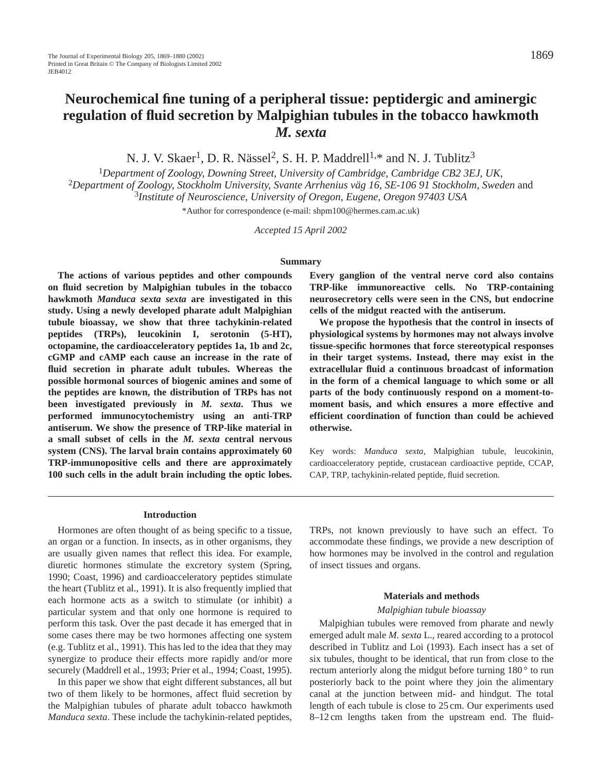# **Neurochemical fine tuning of a peripheral tissue: peptidergic and aminergic regulation of fluid secretion by Malpighian tubules in the tobacco hawkmoth** *M. sexta*

N. J. V. Skaer<sup>1</sup>, D. R. Nässel<sup>2</sup>, S. H. P. Maddrell<sup>1,\*</sup> and N. J. Tublitz<sup>3</sup>

<sup>1</sup>*Department of Zoology, Downing Street, University of Cambridge, Cambridge CB2 3EJ, UK,* <sup>2</sup>*Department of Zoology, Stockholm University, Svante Arrhenius väg 16, SE-106 91 Stockholm, Sweden* and <sup>3</sup>*Institute of Neuroscience, University of Oregon, Eugene, Oregon 97403 USA*

\*Author for correspondence (e-mail: shpm100@hermes.cam.ac.uk)

*Accepted 15 April 2002* 

#### **Summary**

**The actions of various peptides and other compounds on fluid secretion by Malpighian tubules in the tobacco hawkmoth** *Manduca sexta sexta* **are investigated in this study. Using a newly developed pharate adult Malpighian tubule bioassay, we show that three tachykinin-related peptides (TRPs), leucokinin I, serotonin (5-HT), octopamine, the cardioacceleratory peptides 1a, 1b and 2c, cGMP and cAMP each cause an increase in the rate of fluid secretion in pharate adult tubules. Whereas the possible hormonal sources of biogenic amines and some of the peptides are known, the distribution of TRPs has not been investigated previously in** *M. sexta***. Thus we performed immunocytochemistry using an anti-TRP antiserum. We show the presence of TRP-like material in a small subset of cells in the** *M. sexta* **central nervous system (CNS). The larval brain contains approximately 60 TRP-immunopositive cells and there are approximately 100 such cells in the adult brain including the optic lobes.** **Every ganglion of the ventral nerve cord also contains TRP-like immunoreactive cells. No TRP-containing neurosecretory cells were seen in the CNS, but endocrine cells of the midgut reacted with the antiserum.**

**We propose the hypothesis that the control in insects of physiological systems by hormones may not always involve tissue-specific hormones that force stereotypical responses in their target systems. Instead, there may exist in the extracellular fluid a continuous broadcast of information in the form of a chemical language to which some or all parts of the body continuously respond on a moment-tomoment basis, and which ensures a more effective and efficient coordination of function than could be achieved otherwise.**

Key words: *Manduca sexta*, Malpighian tubule, leucokinin, cardioacceleratory peptide, crustacean cardioactive peptide, CCAP, CAP, TRP, tachykinin-related peptide, fluid secretion.

#### **Introduction**

Hormones are often thought of as being specific to a tissue, an organ or a function. In insects, as in other organisms, they are usually given names that reflect this idea. For example, diuretic hormones stimulate the excretory system (Spring, 1990; Coast, 1996) and cardioacceleratory peptides stimulate the heart (Tublitz et al., 1991). It is also frequently implied that each hormone acts as a switch to stimulate (or inhibit) a particular system and that only one hormone is required to perform this task. Over the past decade it has emerged that in some cases there may be two hormones affecting one system (e.g. Tublitz et al., 1991). This has led to the idea that they may synergize to produce their effects more rapidly and/or more securely (Maddrell et al., 1993; Prier et al., 1994; Coast, 1995).

In this paper we show that eight different substances, all but two of them likely to be hormones, affect fluid secretion by the Malpighian tubules of pharate adult tobacco hawkmoth *Manduca sexta*. These include the tachykinin-related peptides, TRPs, not known previously to have such an effect. To accommodate these findings, we provide a new description of how hormones may be involved in the control and regulation of insect tissues and organs.

#### **Materials and methods**

#### *Malpighian tubule bioassay*

Malpighian tubules were removed from pharate and newly emerged adult male *M. sexta* L., reared according to a protocol described in Tublitz and Loi (1993). Each insect has a set of six tubules, thought to be identical, that run from close to the rectum anteriorly along the midgut before turning 180<sup>°</sup> to run posteriorly back to the point where they join the alimentary canal at the junction between mid- and hindgut. The total length of each tubule is close to 25 cm. Our experiments used 8–12 cm lengths taken from the upstream end. The fluid-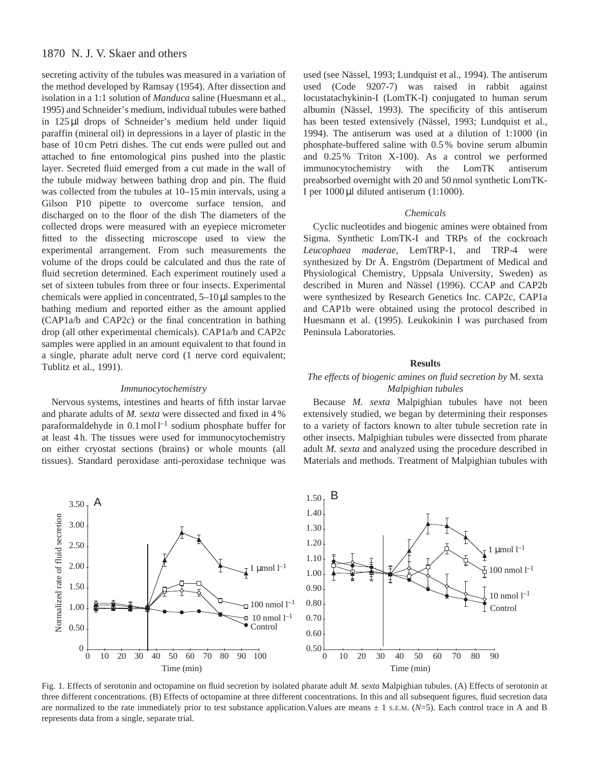secreting activity of the tubules was measured in a variation of the method developed by Ramsay (1954). After dissection and isolation in a 1:1 solution of *Manduca* saline (Huesmann et al., 1995) and Schneider's medium, individual tubules were bathed in 125 µl drops of Schneider's medium held under liquid paraffin (mineral oil) in depressions in a layer of plastic in the base of 10 cm Petri dishes. The cut ends were pulled out and attached to fine entomological pins pushed into the plastic layer. Secreted fluid emerged from a cut made in the wall of the tubule midway between bathing drop and pin. The fluid was collected from the tubules at 10–15 min intervals, using a Gilson P10 pipette to overcome surface tension, and discharged on to the floor of the dish The diameters of the collected drops were measured with an eyepiece micrometer fitted to the dissecting microscope used to view the experimental arrangement. From such measurements the volume of the drops could be calculated and thus the rate of fluid secretion determined. Each experiment routinely used a set of sixteen tubules from three or four insects. Experimental chemicals were applied in concentrated,  $5-10 \mu l$  samples to the bathing medium and reported either as the amount applied (CAP1a/b and CAP2c) or the final concentration in bathing drop (all other experimental chemicals). CAP1a/b and CAP2c samples were applied in an amount equivalent to that found in a single, pharate adult nerve cord (1 nerve cord equivalent; Tublitz et al., 1991).

#### *Immunocytochemistry*

Nervous systems, intestines and hearts of fifth instar larvae and pharate adults of *M. sexta* were dissected and fixed in 4 % paraformaldehyde in  $0.1 \text{ mol}^{-1}$  sodium phosphate buffer for at least 4 h. The tissues were used for immunocytochemistry on either cryostat sections (brains) or whole mounts (all tissues). Standard peroxidase anti-peroxidase technique was

used (see Nässel, 1993; Lundquist et al., 1994). The antiserum used (Code 9207-7) was raised in rabbit against locustatachykinin-I (LomTK-I) conjugated to human serum albumin (Nässel, 1993). The specificity of this antiserum has been tested extensively (Nässel, 1993; Lundquist et al., 1994). The antiserum was used at a dilution of 1:1000 (in phosphate-buffered saline with 0.5 % bovine serum albumin and 0.25 % Triton X-100). As a control we performed immunocytochemistry with the LomTK antiserum preabsorbed overnight with 20 and 50 nmol synthetic LomTK-I per 1000 µl diluted antiserum (1:1000).

#### *Chemicals*

Cyclic nucleotides and biogenic amines were obtained from Sigma. Synthetic LomTK-I and TRPs of the cockroach *Leucophaea maderae*, LemTRP-1, and TRP-4 were synthesized by Dr Å. Engström (Department of Medical and Physiological Chemistry, Uppsala University, Sweden) as described in Muren and Nässel (1996). CCAP and CAP2b were synthesized by Research Genetics Inc. CAP2c, CAP1a and CAP1b were obtained using the protocol described in Huesmann et al. (1995). Leukokinin I was purchased from Peninsula Laboratories.

#### **Results**

## *The effects of biogenic amines on fluid secretion by* M. sexta *Malpighian tubules*

Because *M. sexta* Malpighian tubules have not been extensively studied, we began by determining their responses to a variety of factors known to alter tubule secretion rate in other insects. Malpighian tubules were dissected from pharate adult *M. sexta* and analyzed using the procedure described in Materials and methods. Treatment of Malpighian tubules with



Fig. 1. Effects of serotonin and octopamine on fluid secretion by isolated pharate adult *M. sexta* Malpighian tubules. (A) Effects of serotonin at three different concentrations. (B) Effects of octopamine at three different concentrations. In this and all subsequent figures, fluid secretion data are normalized to the rate immediately prior to test substance application. Values are means  $\pm 1$  s.E.M. ( $N=5$ ). Each control trace in A and B represents data from a single, separate trial.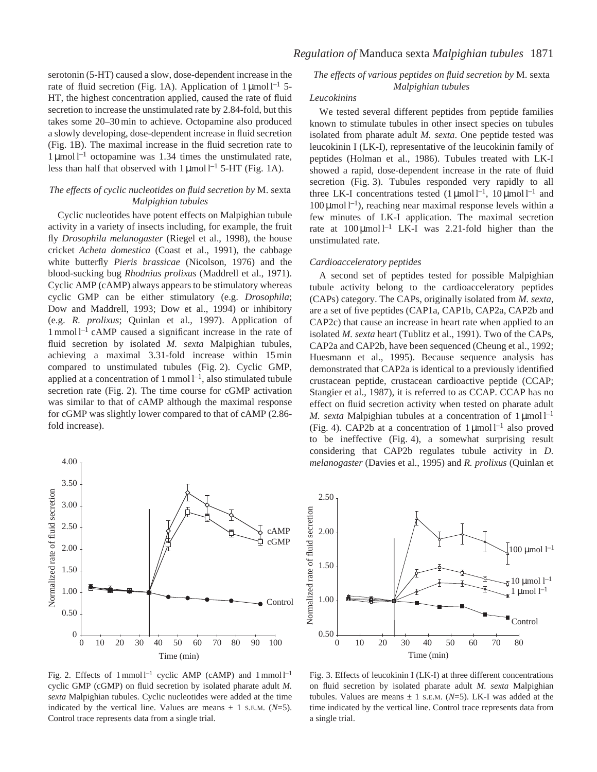serotonin (5-HT) caused a slow, dose-dependent increase in the rate of fluid secretion (Fig. 1A). Application of  $1 \mu$ mol l<sup>-1</sup> 5-HT, the highest concentration applied, caused the rate of fluid secretion to increase the unstimulated rate by 2.84-fold, but this takes some 20–30 min to achieve. Octopamine also produced a slowly developing, dose-dependent increase in fluid secretion (Fig. 1B). The maximal increase in the fluid secretion rate to  $1 \mu$ mol l<sup>-1</sup> octopamine was 1.34 times the unstimulated rate, less than half that observed with  $1 \mu$ mol l<sup>-1</sup> 5-HT (Fig. 1A).

# *The effects of cyclic nucleotides on fluid secretion by* M. sexta *Malpighian tubules*

Cyclic nucleotides have potent effects on Malpighian tubule activity in a variety of insects including, for example, the fruit fly *Drosophila melanogaster* (Riegel et al., 1998), the house cricket *Acheta domestica* (Coast et al., 1991), the cabbage white butterfly *Pieris brassicae* (Nicolson, 1976) and the blood-sucking bug *Rhodnius prolixus* (Maddrell et al., 1971). Cyclic AMP (cAMP) always appears to be stimulatory whereas cyclic GMP can be either stimulatory (e.g. *Drosophila*; Dow and Maddrell, 1993; Dow et al., 1994) or inhibitory (e.g. *R. prolixus*; Quinlan et al., 1997). Application of 1 mmol l–1 cAMP caused a significant increase in the rate of fluid secretion by isolated *M. sexta* Malpighian tubules, achieving a maximal 3.31-fold increase within 15 min compared to unstimulated tubules (Fig. 2). Cyclic GMP, applied at a concentration of 1 mmol  $l^{-1}$ , also stimulated tubule secretion rate (Fig. 2). The time course for cGMP activation was similar to that of cAMP although the maximal response for cGMP was slightly lower compared to that of cAMP (2.86 fold increase).



Fig. 2. Effects of  $1$ mmol  $l^{-1}$  cyclic AMP (cAMP) and  $1$ mmol  $l^{-1}$ cyclic GMP (cGMP) on fluid secretion by isolated pharate adult *M. sexta* Malpighian tubules. Cyclic nucleotides were added at the time indicated by the vertical line. Values are means  $\pm$  1 s.E.M. ( $N=5$ ). Control trace represents data from a single trial.

*The effects of various peptides on fluid secretion by* M. sexta *Malpighian tubules*

## *Leucokinins*

We tested several different peptides from peptide families known to stimulate tubules in other insect species on tubules isolated from pharate adult *M. sexta*. One peptide tested was leucokinin I (LK-I), representative of the leucokinin family of peptides (Holman et al., 1986). Tubules treated with LK-I showed a rapid, dose-dependent increase in the rate of fluid secretion (Fig. 3). Tubules responded very rapidly to all three LK-I concentrations tested  $(1 \mu \text{mol})^{-1}$ ,  $10 \mu \text{mol}^{-1}$  and  $100 \mu$ mol l<sup>-1</sup>), reaching near maximal response levels within a few minutes of LK-I application. The maximal secretion rate at  $100 \mu \text{mol}^{-1}$  LK-I was 2.21-fold higher than the unstimulated rate.

#### *Cardioacceleratory peptides*

A second set of peptides tested for possible Malpighian tubule activity belong to the cardioacceleratory peptides (CAPs) category. The CAPs, originally isolated from *M. sexta*, are a set of five peptides (CAP1a, CAP1b, CAP2a, CAP2b and CAP2c) that cause an increase in heart rate when applied to an isolated *M. sexta* heart (Tublitz et al., 1991). Two of the CAPs, CAP2a and CAP2b, have been sequenced (Cheung et al., 1992; Huesmann et al., 1995). Because sequence analysis has demonstrated that CAP2a is identical to a previously identified crustacean peptide, crustacean cardioactive peptide (CCAP; Stangier et al., 1987), it is referred to as CCAP. CCAP has no effect on fluid secretion activity when tested on pharate adult *M. sexta* Malpighian tubules at a concentration of  $1 \mu$ mol  $1^{-1}$ (Fig. 4). CAP2b at a concentration of  $1 \mu$ mol l<sup>-1</sup> also proved to be ineffective (Fig. 4), a somewhat surprising result considering that CAP2b regulates tubule activity in *D. melanogaster* (Davies et al., 1995) and *R. prolixus* (Quinlan et



Fig. 3. Effects of leucokinin I (LK-I) at three different concentrations on fluid secretion by isolated pharate adult *M. sexta* Malpighian tubules. Values are means  $\pm$  1 s.E.M. ( $N=5$ ). LK-I was added at the time indicated by the vertical line. Control trace represents data from a single trial.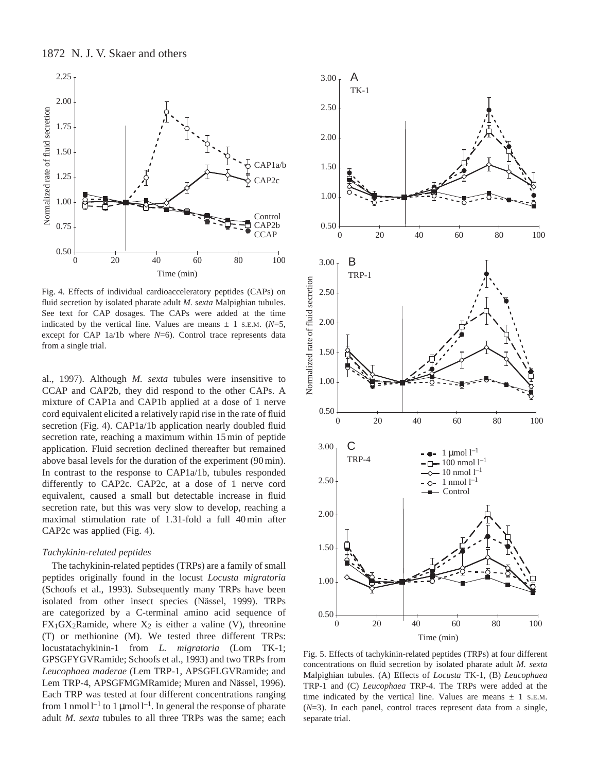

Fig. 4. Effects of individual cardioacceleratory peptides (CAPs) on fluid secretion by isolated pharate adult *M. sexta* Malpighian tubules. See text for CAP dosages. The CAPs were added at the time indicated by the vertical line. Values are means  $\pm$  1 s.E.M. ( $N=5$ , except for CAP 1a/1b where *N*=6). Control trace represents data from a single trial.

al., 1997). Although *M. sexta* tubules were insensitive to CCAP and CAP2b, they did respond to the other CAPs. A mixture of CAP1a and CAP1b applied at a dose of 1 nerve cord equivalent elicited a relatively rapid rise in the rate of fluid secretion (Fig. 4). CAP1a/1b application nearly doubled fluid secretion rate, reaching a maximum within 15 min of peptide application. Fluid secretion declined thereafter but remained above basal levels for the duration of the experiment (90 min). In contrast to the response to CAP1a/1b, tubules responded differently to CAP2c. CAP2c, at a dose of 1 nerve cord equivalent, caused a small but detectable increase in fluid secretion rate, but this was very slow to develop, reaching a maximal stimulation rate of 1.31-fold a full 40 min after CAP2c was applied (Fig. 4).

#### *Tachykinin-related peptides*

The tachykinin-related peptides (TRPs) are a family of small peptides originally found in the locust *Locusta migratoria* (Schoofs et al., 1993). Subsequently many TRPs have been isolated from other insect species (Nässel, 1999). TRPs are categorized by a C-terminal amino acid sequence of  $FX_1GX_2Ramide$ , where  $X_2$  is either a valine (V), threonine (T) or methionine (M). We tested three different TRPs: locustatachykinin-1 from *L. migratoria* (Lom TK-1; GPSGFYGVRamide; Schoofs et al., 1993) and two TRPs from *Leucophaea maderae* (Lem TRP-1, APSGFLGVRamide; and Lem TRP-4, APSGFMGMRamide; Muren and Nässel, 1996). Each TRP was tested at four different concentrations ranging from 1 nmol  $l^{-1}$  to 1 µmol  $l^{-1}$ . In general the response of pharate adult *M. sexta* tubules to all three TRPs was the same; each



Fig. 5. Effects of tachykinin-related peptides (TRPs) at four different concentrations on fluid secretion by isolated pharate adult *M. sexta* Malpighian tubules. (A) Effects of *Locusta* TK-1, (B) *Leucophaea* TRP-1 and (C) *Leucophaea* TRP-4. The TRPs were added at the time indicated by the vertical line. Values are means  $\pm$  1 s.E.M. (*N*=3). In each panel, control traces represent data from a single, separate trial.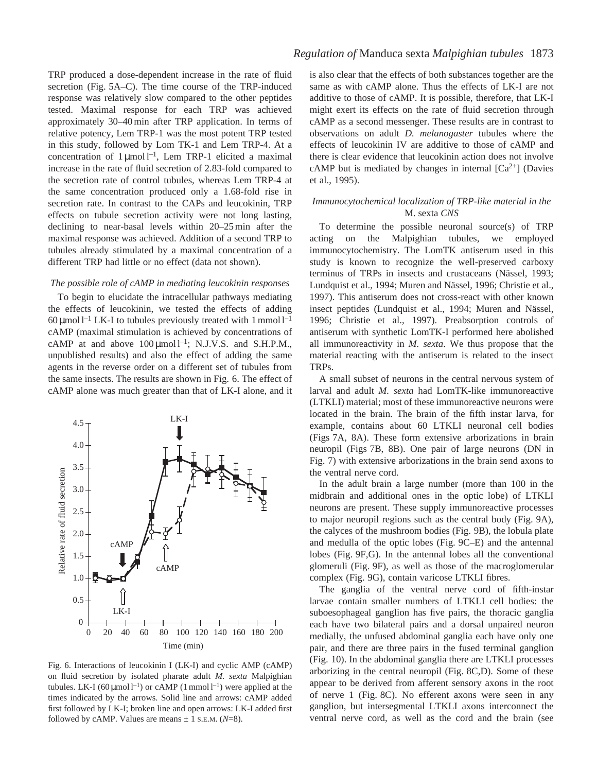TRP produced a dose-dependent increase in the rate of fluid secretion (Fig. 5A–C). The time course of the TRP-induced response was relatively slow compared to the other peptides tested. Maximal response for each TRP was achieved approximately 30–40 min after TRP application. In terms of relative potency, Lem TRP-1 was the most potent TRP tested in this study, followed by Lom TK-1 and Lem TRP-4. At a concentration of  $1 \mu$ mol l<sup>-1</sup>, Lem TRP-1 elicited a maximal increase in the rate of fluid secretion of 2.83-fold compared to the secretion rate of control tubules, whereas Lem TRP-4 at the same concentration produced only a 1.68-fold rise in secretion rate. In contrast to the CAPs and leucokinin, TRP effects on tubule secretion activity were not long lasting, declining to near-basal levels within 20–25 min after the maximal response was achieved. Addition of a second TRP to tubules already stimulated by a maximal concentration of a different TRP had little or no effect (data not shown).

#### *The possible role of cAMP in mediating leucokinin responses*

To begin to elucidate the intracellular pathways mediating the effects of leucokinin, we tested the effects of adding 60  $\mu$ mol l<sup>-1</sup> LK-I to tubules previously treated with 1 mmol l<sup>-1</sup> cAMP (maximal stimulation is achieved by concentrations of cAMP at and above  $100 \mu \text{mol}^{-1}$ ; N.J.V.S. and S.H.P.M., unpublished results) and also the effect of adding the same agents in the reverse order on a different set of tubules from the same insects. The results are shown in Fig. 6. The effect of cAMP alone was much greater than that of LK-I alone, and it



Fig. 6. Interactions of leucokinin I (LK-I) and cyclic AMP (cAMP) on fluid secretion by isolated pharate adult *M. sexta* Malpighian tubules. LK-I (60 µmol l<sup>-1</sup>) or cAMP (1 mmol l<sup>-1</sup>) were applied at the times indicated by the arrows. Solid line and arrows: cAMP added first followed by LK-I; broken line and open arrows: LK-I added first followed by cAMP. Values are means  $\pm$  1 s.e.m. ( $N=8$ ).

# *Regulation of* Manduca sexta *Malpighian tubules* 1873

is also clear that the effects of both substances together are the same as with cAMP alone. Thus the effects of LK-I are not additive to those of cAMP. It is possible, therefore, that LK-I might exert its effects on the rate of fluid secretion through cAMP as a second messenger. These results are in contrast to observations on adult *D. melanogaster* tubules where the effects of leucokinin IV are additive to those of cAMP and there is clear evidence that leucokinin action does not involve cAMP but is mediated by changes in internal  $[Ca^{2+}]$  (Davies et al., 1995).

## *Immunocytochemical localization of TRP-like material in the* M. sexta *CNS*

To determine the possible neuronal source(s) of TRP acting on the Malpighian tubules, we employed immunocytochemistry. The LomTK antiserum used in this study is known to recognize the well-preserved carboxy terminus of TRPs in insects and crustaceans (Nässel, 1993; Lundquist et al., 1994; Muren and Nässel, 1996; Christie et al., 1997). This antiserum does not cross-react with other known insect peptides (Lundquist et al., 1994; Muren and Nässel, 1996; Christie et al., 1997). Preabsorption controls of antiserum with synthetic LomTK-I performed here abolished all immunoreactivity in *M. sexta*. We thus propose that the material reacting with the antiserum is related to the insect TRPs.

A small subset of neurons in the central nervous system of larval and adult *M. sexta* had LomTK-like immunoreactive (LTKLI) material; most of these immunoreactive neurons were located in the brain. The brain of the fifth instar larva, for example, contains about 60 LTKLI neuronal cell bodies (Figs 7A, 8A). These form extensive arborizations in brain neuropil (Figs 7B, 8B). One pair of large neurons (DN in Fig. 7) with extensive arborizations in the brain send axons to the ventral nerve cord.

In the adult brain a large number (more than 100 in the midbrain and additional ones in the optic lobe) of LTKLI neurons are present. These supply immunoreactive processes to major neuropil regions such as the central body (Fig. 9A), the calyces of the mushroom bodies (Fig. 9B), the lobula plate and medulla of the optic lobes (Fig. 9C–E) and the antennal lobes (Fig. 9F,G). In the antennal lobes all the conventional glomeruli (Fig. 9F), as well as those of the macroglomerular complex (Fig. 9G), contain varicose LTKLI fibres.

The ganglia of the ventral nerve cord of fifth-instar larvae contain smaller numbers of LTKLI cell bodies: the suboesophageal ganglion has five pairs, the thoracic ganglia each have two bilateral pairs and a dorsal unpaired neuron medially, the unfused abdominal ganglia each have only one pair, and there are three pairs in the fused terminal ganglion (Fig. 10). In the abdominal ganglia there are LTKLI processes arborizing in the central neuropil (Fig. 8C,D). Some of these appear to be derived from afferent sensory axons in the root of nerve 1 (Fig. 8C). No efferent axons were seen in any ganglion, but intersegmental LTKLI axons interconnect the ventral nerve cord, as well as the cord and the brain (see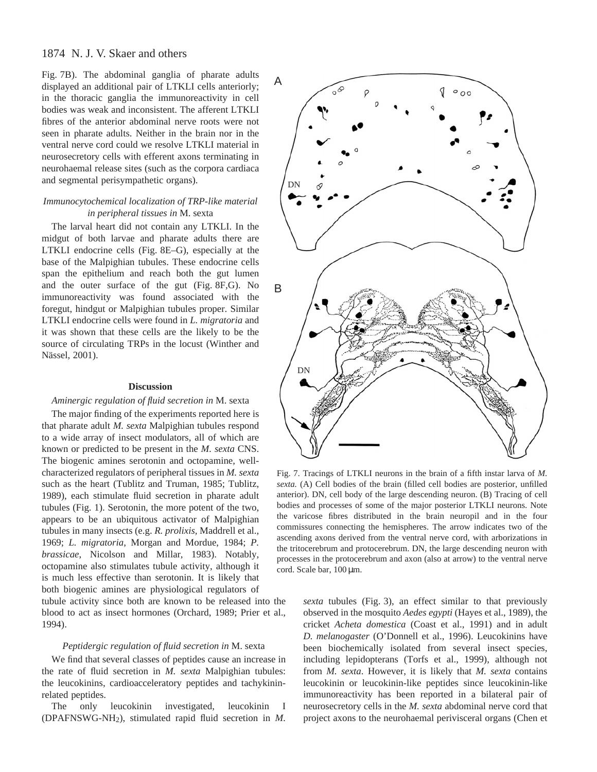Fig. 7B). The abdominal ganglia of pharate adults displayed an additional pair of LTKLI cells anteriorly; in the thoracic ganglia the immunoreactivity in cell bodies was weak and inconsistent. The afferent LTKLI fibres of the anterior abdominal nerve roots were not seen in pharate adults. Neither in the brain nor in the ventral nerve cord could we resolve LTKLI material in neurosecretory cells with efferent axons terminating in neurohaemal release sites (such as the corpora cardiaca and segmental perisympathetic organs).

## *Immunocytochemical localization of TRP-like material in peripheral tissues in* M. sexta

The larval heart did not contain any LTKLI. In the midgut of both larvae and pharate adults there are LTKLI endocrine cells (Fig. 8E–G), especially at the base of the Malpighian tubules. These endocrine cells span the epithelium and reach both the gut lumen and the outer surface of the gut (Fig. 8F,G). No immunoreactivity was found associated with the foregut, hindgut or Malpighian tubules proper. Similar LTKLI endocrine cells were found in *L. migratoria* and it was shown that these cells are the likely to be the source of circulating TRPs in the locust (Winther and Nässel, 2001).

## **Discussion**

#### *Aminergic regulation of fluid secretion in* M. sexta

The major finding of the experiments reported here is that pharate adult *M. sexta* Malpighian tubules respond to a wide array of insect modulators, all of which are known or predicted to be present in the *M. sexta* CNS. The biogenic amines serotonin and octopamine, wellcharacterized regulators of peripheral tissues in *M. sexta* such as the heart (Tublitz and Truman, 1985; Tublitz, 1989), each stimulate fluid secretion in pharate adult tubules (Fig. 1). Serotonin, the more potent of the two, appears to be an ubiquitous activator of Malpighian tubules in many insects (e.g. *R. prolixis,* Maddrell et al., 1969; *L. migratoria*, Morgan and Mordue, 1984; *P. brassicae*, Nicolson and Millar, 1983). Notably, octopamine also stimulates tubule activity, although it is much less effective than serotonin. It is likely that both biogenic amines are physiological regulators of tubule activity since both are known to be released into the blood to act as insect hormones (Orchard, 1989; Prier et al., 1994).

#### *Peptidergic regulation of fluid secretion in* M. sexta

We find that several classes of peptides cause an increase in the rate of fluid secretion in *M. sexta* Malpighian tubules: the leucokinins, cardioacceleratory peptides and tachykininrelated peptides.

The only leucokinin investigated, leucokinin I (DPAFNSWG-NH2), stimulated rapid fluid secretion in *M.*



Fig. 7. Tracings of LTKLI neurons in the brain of a fifth instar larva of *M. sexta.* (A) Cell bodies of the brain (filled cell bodies are posterior, unfilled anterior). DN, cell body of the large descending neuron. (B) Tracing of cell bodies and processes of some of the major posterior LTKLI neurons. Note the varicose fibres distributed in the brain neuropil and in the four commissures connecting the hemispheres. The arrow indicates two of the ascending axons derived from the ventral nerve cord, with arborizations in the tritocerebrum and protocerebrum. DN, the large descending neuron with processes in the protocerebrum and axon (also at arrow) to the ventral nerve cord. Scale bar,  $100 \,\mu$ m.

*sexta* tubules (Fig. 3), an effect similar to that previously observed in the mosquito *Aedes egypti* (Hayes et al., 1989), the cricket *Acheta domestica* (Coast et al., 1991) and in adult *D. melanogaster* (O'Donnell et al., 1996). Leucokinins have been biochemically isolated from several insect species, including lepidopterans (Torfs et al., 1999), although not from *M. sexta*. However, it is likely that *M. sexta* contains leucokinin or leucokinin-like peptides since leucokinin-like immunoreactivity has been reported in a bilateral pair of neurosecretory cells in the *M. sexta* abdominal nerve cord that project axons to the neurohaemal perivisceral organs (Chen et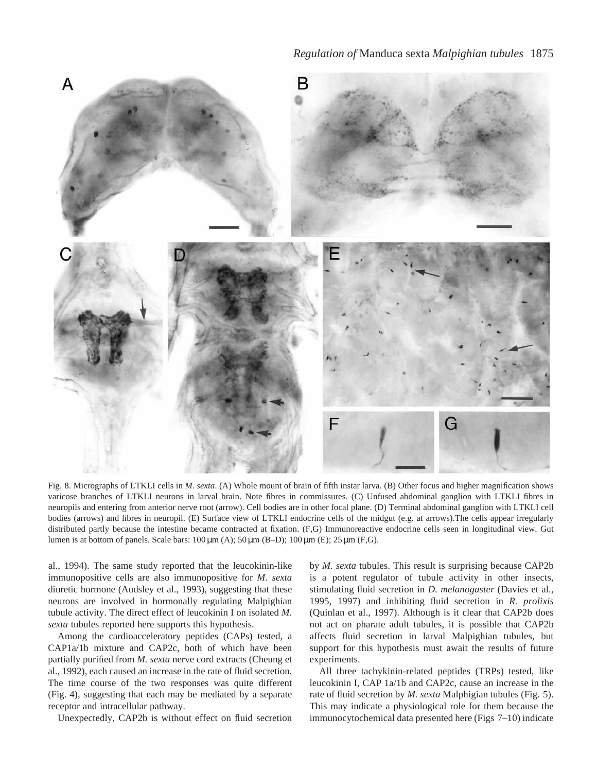

Fig. 8. Micrographs of LTKLI cells in *M. sexta*. (A) Whole mount of brain of fifth instar larva. (B) Other focus and higher magnification shows varicose branches of LTKLI neurons in larval brain. Note fibres in commissures. (C) Unfused abdominal ganglion with LTKLI fibres in neuropils and entering from anterior nerve root (arrow). Cell bodies are in other focal plane. (D) Terminal abdominal ganglion with LTKLI cell bodies (arrows) and fibres in neuropil. (E) Surface view of LTKLI endocrine cells of the midgut (e.g. at arrows).The cells appear irregularly distributed partly because the intestine became contracted at fixation. (F,G) Immunoreactive endocrine cells seen in longitudinal view. Gut lumen is at bottom of panels. Scale bars:  $100 \,\mu\text{m}$  (A);  $50 \,\mu\text{m}$  (B–D);  $100 \,\mu\text{m}$  (E);  $25 \,\mu\text{m}$  (F,G).

al., 1994). The same study reported that the leucokinin-like immunopositive cells are also immunopositive for *M. sexta* diuretic hormone (Audsley et al., 1993), suggesting that these neurons are involved in hormonally regulating Malpighian tubule activity. The direct effect of leucokinin I on isolated *M. sexta* tubules reported here supports this hypothesis.

Among the cardioacceleratory peptides (CAPs) tested, a CAP1a/1b mixture and CAP2c, both of which have been partially purified from *M. sexta* nerve cord extracts (Cheung et al., 1992), each caused an increase in the rate of fluid secretion. The time course of the two responses was quite different (Fig. 4), suggesting that each may be mediated by a separate receptor and intracellular pathway.

Unexpectedly, CAP2b is without effect on fluid secretion

by *M. sexta* tubules. This result is surprising because CAP2b is a potent regulator of tubule activity in other insects, stimulating fluid secretion in *D. melanogaster* (Davies et al., 1995, 1997) and inhibiting fluid secretion in *R. prolixis* (Quinlan et al., 1997). Although is it clear that CAP2b does not act on pharate adult tubules, it is possible that CAP2b affects fluid secretion in larval Malpighian tubules, but support for this hypothesis must await the results of future experiments.

All three tachykinin-related peptides (TRPs) tested, like leucokinin I, CAP 1a/1b and CAP2c, cause an increase in the rate of fluid secretion by *M. sexta* Malphigian tubules (Fig. 5). This may indicate a physiological role for them because the immunocytochemical data presented here (Figs 7–10) indicate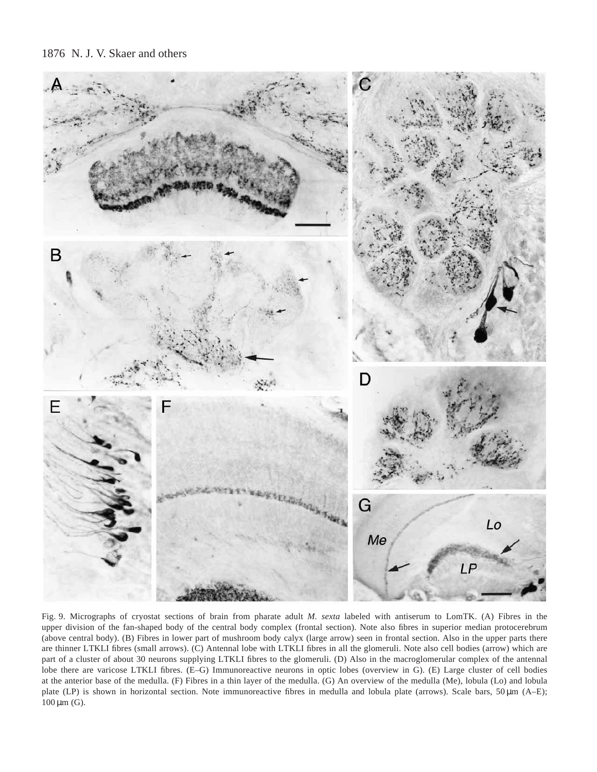

Fig. 9. Micrographs of cryostat sections of brain from pharate adult *M. sexta* labeled with antiserum to LomTK. (A) Fibres in the upper division of the fan-shaped body of the central body complex (frontal section). Note also fibres in superior median protocerebrum (above central body). (B) Fibres in lower part of mushroom body calyx (large arrow) seen in frontal section. Also in the upper parts there are thinner LTKLI fibres (small arrows). (C) Antennal lobe with LTKLI fibres in all the glomeruli. Note also cell bodies (arrow) which are part of a cluster of about 30 neurons supplying LTKLI fibres to the glomeruli. (D) Also in the macroglomerular complex of the antennal lobe there are varicose LTKLI fibres. (E–G) Immunoreactive neurons in optic lobes (overview in G). (E) Large cluster of cell bodies at the anterior base of the medulla. (F) Fibres in a thin layer of the medulla. (G) An overview of the medulla (Me), lobula (Lo) and lobula plate (LP) is shown in horizontal section. Note immunoreactive fibres in medulla and lobula plate (arrows). Scale bars, 50  $\mu$ m (A–E);  $100 \,\mu m$  (G).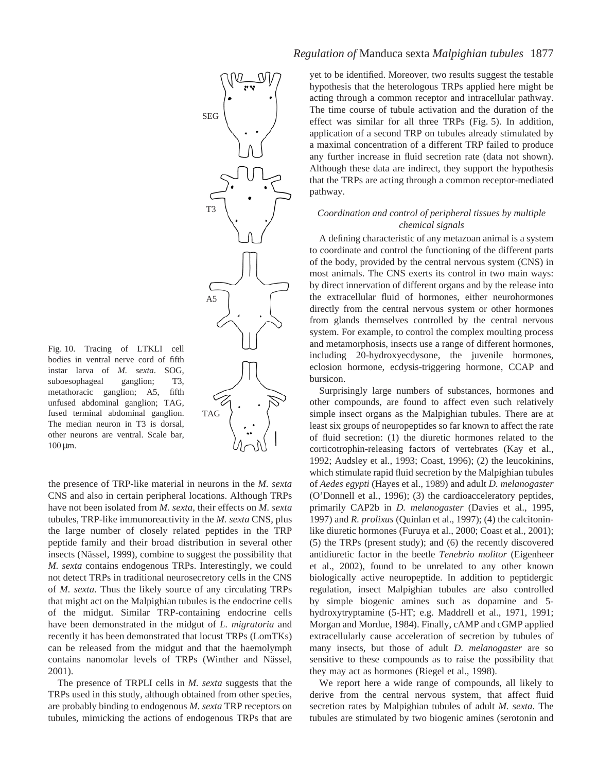

the presence of TRP-like material in neurons in the *M. sexta* CNS and also in certain peripheral locations. Although TRPs have not been isolated from *M. sexta*, their effects on *M. sexta* tubules, TRP-like immunoreactivity in the *M. sexta* CNS, plus the large number of closely related peptides in the TRP peptide family and their broad distribution in several other insects (Nässel, 1999), combine to suggest the possibility that *M. sexta* contains endogenous TRPs. Interestingly, we could not detect TRPs in traditional neurosecretory cells in the CNS of *M. sexta*. Thus the likely source of any circulating TRPs that might act on the Malpighian tubules is the endocrine cells of the midgut. Similar TRP-containing endocrine cells have been demonstrated in the midgut of *L. migratoria* and recently it has been demonstrated that locust TRPs (LomTKs) can be released from the midgut and that the haemolymph contains nanomolar levels of TRPs (Winther and Nässel, 2001).

SEG

T3

 $A<sub>5</sub>$ 

TAG

The presence of TRPLI cells in *M. sexta* suggests that the TRPs used in this study, although obtained from other species, are probably binding to endogenous *M. sexta* TRP receptors on tubules, mimicking the actions of endogenous TRPs that are

# *Regulation of* Manduca sexta *Malpighian tubules* 1877

yet to be identified. Moreover, two results suggest the testable hypothesis that the heterologous TRPs applied here might be acting through a common receptor and intracellular pathway. The time course of tubule activation and the duration of the effect was similar for all three TRPs (Fig. 5). In addition, application of a second TRP on tubules already stimulated by a maximal concentration of a different TRP failed to produce any further increase in fluid secretion rate (data not shown). Although these data are indirect, they support the hypothesis that the TRPs are acting through a common receptor-mediated pathway.

# *Coordination and control of peripheral tissues by multiple chemical signals*

A defining characteristic of any metazoan animal is a system to coordinate and control the functioning of the different parts of the body, provided by the central nervous system (CNS) in most animals. The CNS exerts its control in two main ways: by direct innervation of different organs and by the release into the extracellular fluid of hormones, either neurohormones directly from the central nervous system or other hormones from glands themselves controlled by the central nervous system. For example, to control the complex moulting process and metamorphosis, insects use a range of different hormones, including 20-hydroxyecdysone, the juvenile hormones, eclosion hormone, ecdysis-triggering hormone, CCAP and bursicon.

Surprisingly large numbers of substances, hormones and other compounds, are found to affect even such relatively simple insect organs as the Malpighian tubules. There are at least six groups of neuropeptides so far known to affect the rate of fluid secretion: (1) the diuretic hormones related to the corticotrophin-releasing factors of vertebrates (Kay et al., 1992; Audsley et al., 1993; Coast, 1996); (2) the leucokinins, which stimulate rapid fluid secretion by the Malpighian tubules of *Aedes egypti* (Hayes et al., 1989) and adult *D. melanogaster* (O'Donnell et al., 1996); (3) the cardioacceleratory peptides, primarily CAP2b in *D. melanogaster* (Davies et al., 1995, 1997) and *R. prolixus* (Quinlan et al., 1997); (4) the calcitoninlike diuretic hormones (Furuya et al., 2000; Coast et al., 2001); (5) the TRPs (present study); and (6) the recently discovered antidiuretic factor in the beetle *Tenebrio molitor* (Eigenheer et al., 2002), found to be unrelated to any other known biologically active neuropeptide. In addition to peptidergic regulation, insect Malpighian tubules are also controlled by simple biogenic amines such as dopamine and 5 hydroxytryptamine (5-HT; e.g. Maddrell et al., 1971, 1991; Morgan and Mordue, 1984). Finally, cAMP and cGMP applied extracellularly cause acceleration of secretion by tubules of many insects, but those of adult *D. melanogaster* are so sensitive to these compounds as to raise the possibility that they may act as hormones (Riegel et al., 1998).

We report here a wide range of compounds, all likely to derive from the central nervous system, that affect fluid secretion rates by Malpighian tubules of adult *M. sexta*. The tubules are stimulated by two biogenic amines (serotonin and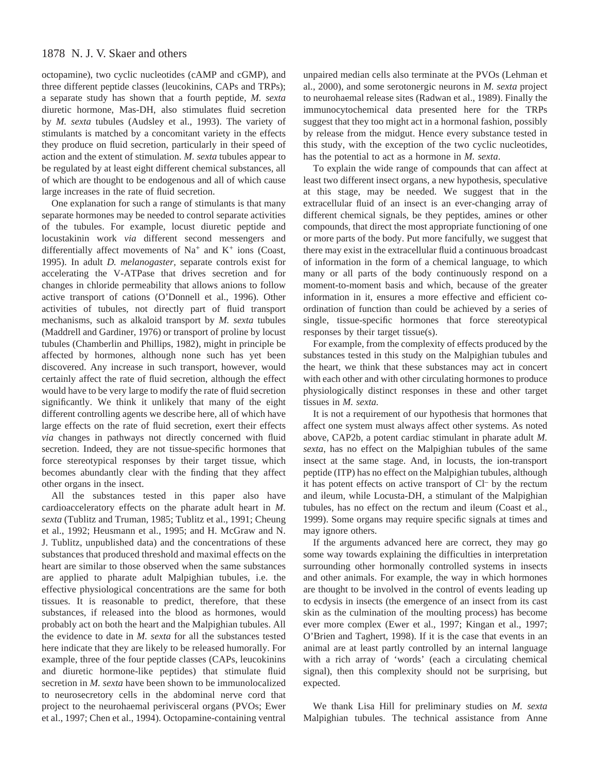octopamine), two cyclic nucleotides (cAMP and cGMP), and three different peptide classes (leucokinins, CAPs and TRPs); a separate study has shown that a fourth peptide, *M. sexta* diuretic hormone, Mas-DH, also stimulates fluid secretion by *M. sexta* tubules (Audsley et al., 1993). The variety of stimulants is matched by a concomitant variety in the effects they produce on fluid secretion, particularly in their speed of action and the extent of stimulation. *M. sexta* tubules appear to be regulated by at least eight different chemical substances, all of which are thought to be endogenous and all of which cause large increases in the rate of fluid secretion.

One explanation for such a range of stimulants is that many separate hormones may be needed to control separate activities of the tubules. For example, locust diuretic peptide and locustakinin work *via* different second messengers and differentially affect movements of Na<sup>+</sup> and K<sup>+</sup> ions (Coast, 1995). In adult *D. melanogaster,* separate controls exist for accelerating the V-ATPase that drives secretion and for changes in chloride permeability that allows anions to follow active transport of cations (O'Donnell et al., 1996). Other activities of tubules, not directly part of fluid transport mechanisms, such as alkaloid transport by *M. sexta* tubules (Maddrell and Gardiner, 1976) or transport of proline by locust tubules (Chamberlin and Phillips, 1982), might in principle be affected by hormones, although none such has yet been discovered. Any increase in such transport, however, would certainly affect the rate of fluid secretion, although the effect would have to be very large to modify the rate of fluid secretion significantly. We think it unlikely that many of the eight different controlling agents we describe here, all of which have large effects on the rate of fluid secretion, exert their effects *via* changes in pathways not directly concerned with fluid secretion. Indeed, they are not tissue-specific hormones that force stereotypical responses by their target tissue, which becomes abundantly clear with the finding that they affect other organs in the insect.

All the substances tested in this paper also have cardioacceleratory effects on the pharate adult heart in *M. sexta* (Tublitz and Truman, 1985; Tublitz et al., 1991; Cheung et al., 1992; Heusmann et al., 1995; and H. McGraw and N. J. Tublitz, unpublished data) and the concentrations of these substances that produced threshold and maximal effects on the heart are similar to those observed when the same substances are applied to pharate adult Malpighian tubules, i.e. the effective physiological concentrations are the same for both tissues. It is reasonable to predict, therefore, that these substances, if released into the blood as hormones, would probably act on both the heart and the Malpighian tubules. All the evidence to date in *M. sexta* for all the substances tested here indicate that they are likely to be released humorally. For example, three of the four peptide classes (CAPs, leucokinins and diuretic hormone-like peptides) that stimulate fluid secretion in *M. sexta* have been shown to be immunolocalized to neurosecretory cells in the abdominal nerve cord that project to the neurohaemal perivisceral organs (PVOs; Ewer et al., 1997; Chen et al., 1994). Octopamine-containing ventral unpaired median cells also terminate at the PVOs (Lehman et al., 2000), and some serotonergic neurons in *M. sexta* project to neurohaemal release sites (Radwan et al., 1989). Finally the immunocytochemical data presented here for the TRPs suggest that they too might act in a hormonal fashion, possibly by release from the midgut. Hence every substance tested in this study, with the exception of the two cyclic nucleotides, has the potential to act as a hormone in *M. sexta*.

To explain the wide range of compounds that can affect at least two different insect organs, a new hypothesis, speculative at this stage, may be needed. We suggest that in the extracellular fluid of an insect is an ever-changing array of different chemical signals, be they peptides, amines or other compounds, that direct the most appropriate functioning of one or more parts of the body. Put more fancifully, we suggest that there may exist in the extracellular fluid a continuous broadcast of information in the form of a chemical language, to which many or all parts of the body continuously respond on a moment-to-moment basis and which, because of the greater information in it, ensures a more effective and efficient coordination of function than could be achieved by a series of single, tissue-specific hormones that force stereotypical responses by their target tissue(s).

For example, from the complexity of effects produced by the substances tested in this study on the Malpighian tubules and the heart, we think that these substances may act in concert with each other and with other circulating hormones to produce physiologically distinct responses in these and other target tissues in *M. sexta.*

It is not a requirement of our hypothesis that hormones that affect one system must always affect other systems. As noted above, CAP2b, a potent cardiac stimulant in pharate adult *M. sexta*, has no effect on the Malpighian tubules of the same insect at the same stage. And, in locusts, the ion-transport peptide (ITP) has no effect on the Malpighian tubules, although it has potent effects on active transport of Cl– by the rectum and ileum, while Locusta-DH, a stimulant of the Malpighian tubules, has no effect on the rectum and ileum (Coast et al., 1999). Some organs may require specific signals at times and may ignore others.

If the arguments advanced here are correct, they may go some way towards explaining the difficulties in interpretation surrounding other hormonally controlled systems in insects and other animals. For example, the way in which hormones are thought to be involved in the control of events leading up to ecdysis in insects (the emergence of an insect from its cast skin as the culmination of the moulting process) has become ever more complex (Ewer et al., 1997; Kingan et al., 1997; O'Brien and Taghert, 1998). If it is the case that events in an animal are at least partly controlled by an internal language with a rich array of 'words' (each a circulating chemical signal), then this complexity should not be surprising, but expected.

We thank Lisa Hill for preliminary studies on *M. sexta* Malpighian tubules. The technical assistance from Anne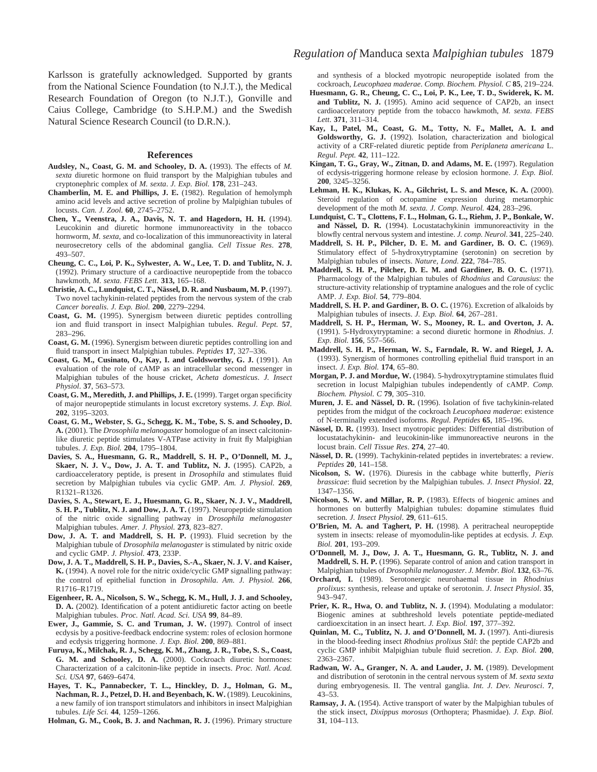Karlsson is gratefully acknowledged. Supported by grants from the National Science Foundation (to N.J.T.), the Medical Research Foundation of Oregon (to N.J.T.), Gonville and Caius College, Cambridge (to S.H.P.M.) and the Swedish Natural Science Research Council (to D.R.N.).

#### **References**

- Audsley, N., Coast, G. M. and Schooley, D. A. (1993). The effects of M. *sexta* diuretic hormone on fluid transport by the Malpighian tubules and cryptonephric complex of *M. sexta*. *J. Exp. Biol.* **178**, 231–243.
- **Chamberlin, M. E. and Phillips, J. E.** (1982). Regulation of hemolymph amino acid levels and active secretion of proline by Malpighian tubules of locusts. *Can. J. Zool.* **60**, 2745–2752.
- **Chen, Y., Veenstra, J. A., Davis, N. T. and Hagedorn, H. H.** (1994). Leucokinin and diuretic hormone immunoreactivity in the tobacco hornworm, *M. sexta*, and co-localization of this immunoreactivity in lateral neurosecretory cells of the abdominal ganglia. *Cell Tissue Res*. **278**, 493–507.
- **Cheung, C. C., Loi, P. K., Sylwester, A. W., Lee, T. D. and Tublitz, N. J.** (1992). Primary structure of a cardioactive neuropeptide from the tobacco hawkmoth, *M. sexta. FEBS Lett.* **313,** 165–168.
- **Christie, A. C., Lundquist, C. T., Nässel, D. R. and Nusbaum, M. P.** (1997). Two novel tachykinin-related peptides from the nervous system of the crab *Cancer borealis*. *J. Exp. Biol.* **200**, 2279–2294.
- **Coast, G. M.** (1995). Synergism between diuretic peptides controlling ion and fluid transport in insect Malpighian tubules. *Regul. Pept.* **57**, 283–296.
- **Coast, G. M.** (1996). Synergism between diuretic peptides controlling ion and fluid transport in insect Malpighian tubules. *Peptides* **17**, 327–336.
- **Coast, G. M., Cusinato, O., Kay, I. and Goldsworthy, G. J.** (1991). An evaluation of the role of cAMP as an intracellular second messenger in Malpighian tubules of the house cricket, *Acheta domesticus*. *J. Insect Physiol*. **37**, 563–573.
- **Coast, G. M., Meredith, J. and Phillips, J. E.** (1999). Target organ specificity of major neuropeptide stimulants in locust excretory systems. *J. Exp. Biol.* **202**, 3195–3203.
- **Coast, G. M., Webster, S. G., Schegg, K. M., Tobe, S. S. and Schooley, D. A.** (2001). The *Drosophila melanogaster* homologue of an insect calcitoninlike diuretic peptide stimulates V-ATPase activity in fruit fly Malpighian tubules. *J. Exp. Biol.* **204**, 1795–1804.
- **Davies, S. A., Huesmann, G. R., Maddrell, S. H. P., O'Donnell, M. J., Skaer, N. J. V., Dow, J. A. T. and Tublitz, N. J.** (1995). CAP2b, a cardioacceleratory peptide, is present in *Drosophila* and stimulates fluid secretion by Malpighian tubules via cyclic GMP. *Am. J. Physiol*. **269**, R1321–R1326.
- **Davies, S. A., Stewart, E. J., Huesmann, G. R., Skaer, N. J. V., Maddrell, S. H. P., Tublitz, N. J. and Dow, J. A. T.** (1997). Neuropeptide stimulation of the nitric oxide signalling pathway in *Drosophila melanogaster* Malpighian tubules. *Amer. J. Physiol.* **273**, 823–827.
- **Dow, J. A. T. and Maddrell, S. H. P.** (1993). Fluid secretion by the Malpighian tubule of *Drosophila melanogaster* is stimulated by nitric oxide and cyclic GMP. *J. Physiol*. **473**, 233P.
- **Dow, J. A. T., Maddrell, S. H. P., Davies, S.-A., Skaer, N. J. V. and Kaiser, K.** (1994). A novel role for the nitric oxide/cyclic GMP signalling pathway: the control of epithelial function in *Drosophila*. *Am. J. Physiol.* **266**, R1716–R1719.
- **Eigenheer, R. A., Nicolson, S. W., Schegg, K. M., Hull, J. J. and Schooley, D. A.** (2002). Identification of a potent antidiuretic factor acting on beetle Malpighian tubules. *Proc. Natl. Acad. Sci. USA* **99**, 84–89.
- **Ewer, J., Gammie, S. C. and Truman, J. W.** (1997). Control of insect ecdysis by a positive-feedback endocrine system: roles of eclosion hormone and ecdysis triggering hormone. *J. Exp. Biol.* **200**, 869–881.
- **Furuya, K., Milchak, R. J., Schegg, K. M., Zhang, J. R., Tobe, S. S., Coast, G. M. and Schooley, D. A.** (2000). Cockroach diuretic hormones: Characterization of a calcitonin-like peptide in insects. *Proc. Natl. Acad. Sci. USA* **97**, 6469–6474.
- **Hayes, T. K., Pannabecker, T. L., Hinckley, D. J., Holman, G. M.,** Nachman, R. J., Petzel, D. H. and Beyenbach, K. W. (1989). Leucokinins, a new family of ion transport stimulators and inhibitors in insect Malpighian tubules. *Life Sci.* **44**, 1259–1266.

**Holman, G. M., Cook, B. J. and Nachman, R. J.** (1996). Primary structure

and synthesis of a blocked myotropic neuropeptide isolated from the cockroach, *Leucophaea maderae*. *Comp. Biochem. Physiol. C* **85**, 219–224.

- **Huesmann, G. R., Cheung, C. C., Loi, P. K., Lee, T. D., Swiderek, K. M.** and Tublitz, N. J. (1995). Amino acid sequence of CAP2b, an insect cardioacceleratory peptide from the tobacco hawkmoth, *M. sexta*. *FEBS Lett*. **371**, 311–314.
- **Kay, I., Patel, M., Coast, G. M., Totty, N. F., Mallet, A. I. and Goldsworthy, G. J.** (1992). Isolation, characterization and biological activity of a CRF-related diuretic peptide from *Periplaneta americana* L. *Regul. Pept.* **42**, 111–122.
- **Kingan, T. G., Gray, W., Zitnan, D. and Adams, M. E.** (1997). Regulation of ecdysis-triggering hormone release by eclosion hormone. *J. Exp. Biol.* **200**, 3245–3256.
- **Lehman, H. K., Klukas, K. A., Gilchrist, L. S. and Mesce, K. A.** (2000). Steroid regulation of octopamine expression during metamorphic development of the moth *M. sexta. J. Comp. Neurol.* **424**, 283–296.
- **Lundquist, C. T., Clottens, F. L., Holman, G. L., Riehm, J. P., Bonkale, W. and Nässel, D. R.** (1994). Locustatachykinin immunoreactivity in the blowfly central nervous system and intestine. *J. comp. Neurol*. **341**, 225–240.
- **Maddrell, S. H. P., Pilcher, D. E. M. and Gardiner, B. O. C.** (1969). Stimulatory effect of 5-hydroxytryptamine (serotonin) on secretion by Malpighian tubules of insects. *Nature, Lond*. **222**, 784–785.
- **Maddrell, S. H. P., Pilcher, D. E. M. and Gardiner, B. O. C.** (1971). Pharmacology of the Malpighian tubules of *Rhodnius* and *Carausius*: the structure-activity relationship of tryptamine analogues and the role of cyclic AMP. *J. Exp. Biol.* **54**, 779–804.
- **Maddrell, S. H. P. and Gardiner, B. O. C.** (1976). Excretion of alkaloids by Malpighian tubules of insects. *J. Exp. Biol.* **64**, 267–281.
- **Maddrell, S. H. P., Herman, W. S., Mooney, R. L. and Overton, J. A.** (1991). 5-Hydroxytryptamine: a second diuretic hormone in *Rhodnius*. *J. Exp. Biol.* **156**, 557–566.
- **Maddrell, S. H. P., Herman, W. S., Farndale, R. W. and Riegel, J. A.** (1993). Synergism of hormones controlling epithelial fluid transport in an insect. *J. Exp. Biol.* **174**, 65–80.
- **Morgan, P. J. and Mordue, W.** (1984). 5-hydroxytryptamine stimulates fluid secretion in locust Malpighian tubules independently of cAMP. *Comp. Biochem. Physiol*. *C* **79**, 305–310.
- **Muren, J. E. and Nässel, D. R.** (1996). Isolation of five tachykinin-related peptides from the midgut of the cockroach *Leucophaea maderae*: existence of N-terminally extended isoforms. *Regul. Peptides* **65**, 185–196.
- **Nässel, D. R.** (1993). Insect myotropic peptides: Differential distribution of locustatachykinin- and leucokinin-like immunoreactive neurons in the locust brain. *Cell Tissue Res*. **274**, 27–40.
- **Nässel, D. R.** (1999). Tachykinin-related peptides in invertebrates: a review. *Peptides* **20**, 141–158.
- **Nicolson, S. W.** (1976). Diuresis in the cabbage white butterfly, *Pieris brassicae*: fluid secretion by the Malpighian tubules. *J. Insect Physiol*. **22**, 1347–1356.
- **Nicolson, S. W. and Millar, R. P.** (1983). Effects of biogenic amines and hormones on butterfly Malpighian tubules: dopamine stimulates fluid secretion. *J. Insect Physiol*. **29**, 611–615.
- **O'Brien, M. A. and Taghert, P. H.** (1998). A peritracheal neuropeptide system in insects: release of myomodulin-like peptides at ecdysis. *J. Exp. Biol.* **201**, 193–209.
- **O'Donnell, M. J., Dow, J. A. T., Huesmann, G. R., Tublitz, N. J. and Maddrell, S. H. P.** (1996). Separate control of anion and cation transport in Malpighian tubules of *Drosophila melanogaster*. *J. Membr. Biol*. **132**, 63–76.
- **Orchard, I.** (1989). Serotonergic neurohaemal tissue in *Rhodnius prolixus*: synthesis, release and uptake of serotonin. *J. Insect Physiol*. **35**, 943–947.
- Prier, K. R., Hwa, O. and Tublitz, N. J. (1994). Modulating a modulator: Biogenic amines at subthreshold levels potentiate peptide-mediated cardioexcitation in an insect heart. *J. Exp. Biol.* **197**, 377–392.
- **Quinlan, M. C., Tublitz, N. J. and O'Donnell, M. J.** (1997). Anti-diuresis in the blood-feeding insect *Rhodnius prolixus Stål*: the peptide CAP2b and cyclic GMP inhibit Malpighian tubule fluid secretion. *J. Exp. Biol.* **200**, 2363–2367.
- **Radwan, W. A., Granger, N. A. and Lauder, J. M.** (1989). Development and distribution of serotonin in the central nervous system of *M. sexta sexta* during embryogenesis. II. The ventral ganglia. *Int. J. Dev. Neurosci*. **7**, 43–53.
- **Ramsay, J. A.** (1954). Active transport of water by the Malpighian tubules of the stick insect, *Dixippus morosus* (Orthoptera; Phasmidae). *J. Exp. Biol.* **31**, 104–113.